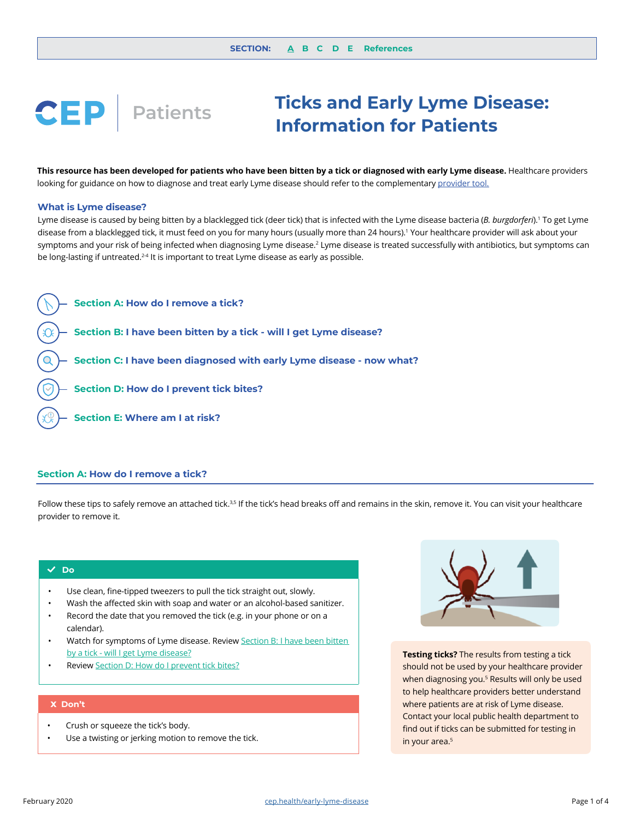# <span id="page-0-0"></span>**Ticks and Early Lyme Disease: CEP Patients Information for Patients**

This resource has been developed for patients who have been bitten by a tick or diagnosed with early Lyme disease. Healthcare providers looking for guidance on how to diagnose and treat early Lyme disease should refer to the complementary provider tool.

### **What is Lyme disease?**

Lyme disease is caused by being bitten by a blacklegged tick (deer tick) that is infected with the Lyme disease bacteria (*B. burgdorferi*).1 To get Lyme disease from a blacklegged tick, it must feed on you for many hours (usually more than 24 hours).1 Your healthcare provider will ask about your symptoms and your risk of being infected when diagnosing Lyme disease.<sup>2</sup> Lyme disease is treated successfully with antibiotics, but symptoms can be long-lasting if untreated.<sup>24</sup> It is important to treat Lyme disease as early as possible.



# **[Section A:](#page-1-0) How do I remove a tick?**

Follow these tips to safely remove an attached tick.<sup>3,5</sup> If the tick's head breaks off and remains in the skin, remove it. You can visit your healthcare provider to remove it.

# $\sqrt{}$  Do

- Use clean, fine-tipped tweezers to pull the tick straight out, slowly.
- Wash the affected skin with soap and water or an alcohol-based sanitizer.
- Record the date that you removed the tick (e.g. in your phone or on a calendar).
- Watch for symptoms of Lyme disease. Review Section B: I have been bitten [by a tick - will I get Lyme disease?](#page-1-0)
- Review [Section D: How do I prevent tick bites?](#page-2-0)

### **Don't x**

- Crush or squeeze the tick's body.
- Use a twisting or jerking motion to remove the tick.



**Testing ticks?** The results from testing a tick should not be used by your healthcare provider when diagnosing you.5 Results will only be used to help healthcare providers better understand where patients are at risk of Lyme disease. Contact your local public health department to find out if ticks can be submitted for testing in in your area.<sup>5</sup>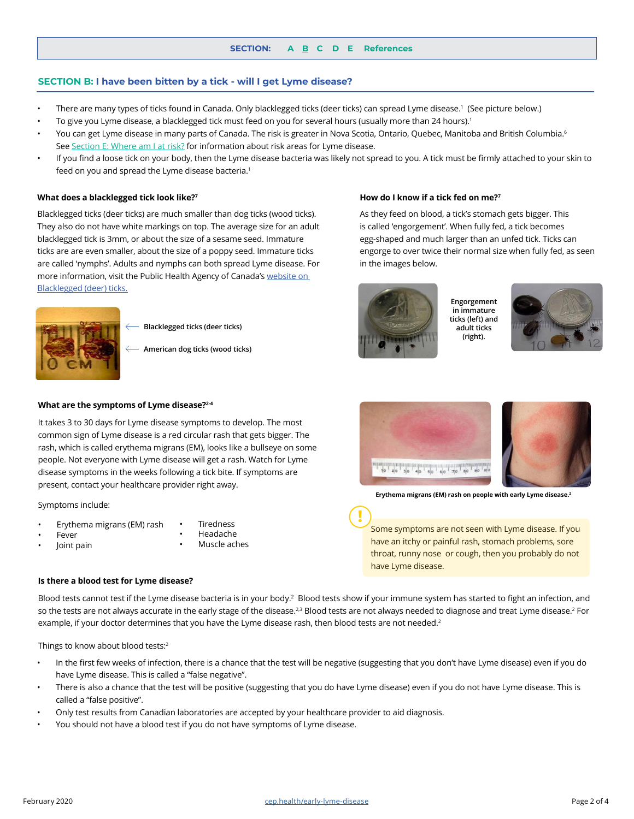## <span id="page-1-0"></span>**SECTION B: I have been bitten by a tick - will I get Lyme disease?**

- There are many types of ticks found in Canada. Only blacklegged ticks (deer ticks) can spread Lyme disease.<sup>1</sup> (See picture below.)
- To give you Lyme disease, a blacklegged tick must feed on you for several hours (usually more than 24 hours).<sup>1</sup>
- You can get Lyme disease in many parts of Canada. The risk is greater in Nova Scotia, Ontario, Quebec, Manitoba and British Columbia.<sup>6</sup> See [Section E: Where am I at risk?](#page-3-0) for information about risk areas for Lyme disease.
- If you find a loose tick on your body, then the Lyme disease bacteria was likely not spread to you. A tick must be firmly attached to your skin to feed on you and spread the Lyme disease bacteria.<sup>1</sup>

### **What does a blacklegged tick look like?7 How do I know if a tick fed on me?7**

Blacklegged ticks (deer ticks) are much smaller than dog ticks (wood ticks). They also do not have white markings on top. The average size for an adult blacklegged tick is 3mm, or about the size of a sesame seed. Immature ticks are are even smaller, about the size of a poppy seed. Immature ticks are called 'nymphs'. Adults and nymphs can both spread Lyme disease. For more information, visit the Public Health Agency of Canada's website on Blacklegged (deer) ticks.



- **Blacklegged ticks (deer ticks)**
- **American dog ticks (wood ticks)**

#### **What are the symptoms of Lyme disease?2-4**

It takes 3 to 30 days for Lyme disease symptoms to develop. The most common sign of Lyme disease is a red circular rash that gets bigger. The rash, which is called erythema migrans (EM), looks like a bullseye on some people. Not everyone with Lyme disease will get a rash. Watch for Lyme disease symptoms in the weeks following a tick bite. If symptoms are present, contact your healthcare provider right away.

Symptoms include:

- Erythema migrans (EM) rash
- **Fever**

• Headache

• Joint pain

**Tiredness** Muscle aches



in the images below.







**Erythema migrans (EM) rash on people with early Lyme disease.2**

As they feed on blood, a tick's stomach gets bigger. This is called 'engorgement'. When fully fed, a tick becomes egg-shaped and much larger than an unfed tick. Ticks can engorge to over twice their normal size when fully fed, as seen

> **Engorgement in immature ticks (left) and adult ticks (right).**

Some symptoms are not seen with Lyme disease. If you have an itchy or painful rash, stomach problems, sore throat, runny nose or cough, then you probably do not have Lyme disease.

#### **Is there a blood test for Lyme disease?**

Blood tests cannot test if the Lyme disease bacteria is in your body.<sup>2</sup> Blood tests show if your immune system has started to fight an infection, and so the tests are not always accurate in the early stage of the disease.<sup>2,3</sup> Blood tests are not always needed to diagnose and treat Lyme disease.<sup>2</sup> For example, if your doctor determines that you have the Lyme disease rash, then blood tests are not needed.<sup>2</sup>

**!**

Things to know about blood tests:<sup>2</sup>

- In the first few weeks of infection, there is a chance that the test will be negative (suggesting that you don't have Lyme disease) even if you do have Lyme disease. This is called a "false negative".
- There is also a chance that the test will be positive (suggesting that you do have Lyme disease) even if you do not have Lyme disease. This is called a "false positive".
- Only test results from Canadian laboratories are accepted by your healthcare provider to aid diagnosis.
- You should not have a blood test if you do not have symptoms of Lyme disease.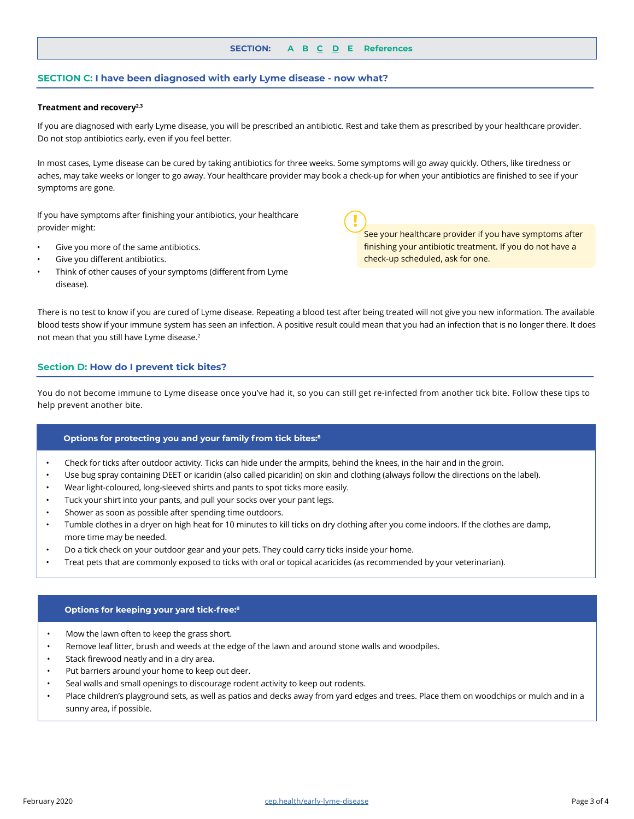## **SECTION: [A](#page-0-0) [B](#page-1-0) C D [E](#page-3-0) [References](#page-3-0)**

## <span id="page-2-0"></span>**SECTION C: I have been diagnosed with early Lyme disease - now what?**

#### **Treatment and recovery2,3**

If you are diagnosed with early Lyme disease, you will be prescribed an antibiotic. Rest and take them as prescribed by your healthcare provider. Do not stop antibiotics early, even if you feel better.

In most cases, Lyme disease can be cured by taking antibiotics for three weeks. Some symptoms will go away quickly. Others, like tiredness or aches, may take weeks or longer to go away. Your healthcare provider may book a check-up for when your antibiotics are finished to see if your symptoms are gone.

**!**

If you have symptoms after finishing your antibiotics, your healthcare provider might:

- Give you more of the same antibiotics.
- Give you different antibiotics.
- Think of other causes of your symptoms (different from Lyme disease).

See your healthcare provider if you have symptoms after finishing your antibiotic treatment. If you do not have a check-up scheduled, ask for one.

There is no test to know if you are cured of Lyme disease. Repeating a blood test after being treated will not give you new information. The available blood tests show if your immune system has seen an infection. A positive result could mean that you had an infection that is no longer there. It does not mean that you still have Lyme disease.<sup>2</sup>

## **Section D: How do I prevent tick bites?**

You do not become immune to Lyme disease once you've had it, so you can still get re-infected from another tick bite. Follow these tips to help prevent another bite.

#### **Options for protecting you and your family from tick bites:8**

- Check for ticks after outdoor activity. Ticks can hide under the armpits, behind the knees, in the hair and in the groin.
- Use bug spray containing DEET or icaridin (also called picaridin) on skin and clothing (always follow the directions on the label).
- Wear light-coloured, long-sleeved shirts and pants to spot ticks more easily.
- Tuck your shirt into your pants, and pull your socks over your pant legs.
- Shower as soon as possible after spending time outdoors.
- Tumble clothes in a dryer on high heat for 10 minutes to kill ticks on dry clothing after you come indoors. If the clothes are damp, more time may be needed.
- Do a tick check on your outdoor gear and your pets. They could carry ticks inside your home.
- Treat pets that are commonly exposed to ticks with oral or topical acaricides (as recommended by your veterinarian).

### **Options for keeping your yard tick-free:8**

- Mow the lawn often to keep the grass short.
- Remove leaf litter, brush and weeds at the edge of the lawn and around stone walls and woodpiles.
- Stack firewood neatly and in a dry area.
- Put barriers around your home to keep out deer.
- Seal walls and small openings to discourage rodent activity to keep out rodents.
- Place children's playground sets, as well as patios and decks away from yard edges and trees. Place them on woodchips or mulch and in a sunny area, if possible.